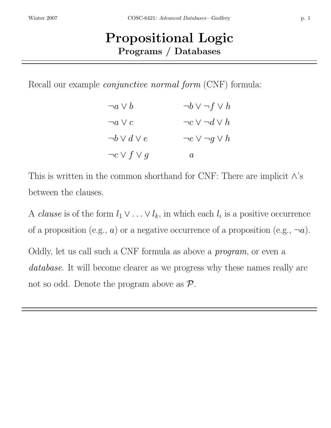## Propositional Logic Programs / Databases

Recall our example *conjunctive normal form* (CNF) formula:

| $\neg a \vee b$        | $\neg b \vee \neg f \vee h$ |
|------------------------|-----------------------------|
| $\neg a \vee c$        | $\neg c \vee \neg d \vee h$ |
| $\neg b \vee d \vee e$ | $\neg e \vee \neg g \vee h$ |
| $\neg c \vee f \vee g$ | a                           |

This is written in the common shorthand for CNF: There are implicit  $\wedge$ 's between the clauses.

A *clause* is of the form  $l_1 \vee \ldots \vee l_k$ , in which each  $l_i$  is a positive occurrence of a proposition (e.g., a) or a negative occurrence of a proposition (e.g.,  $\neg a$ ). Oddly, let us call such a CNF formula as above a program, or even a database. It will become clearer as we progress why these names really are not so odd. Denote the program above as  $\mathcal{P}$ .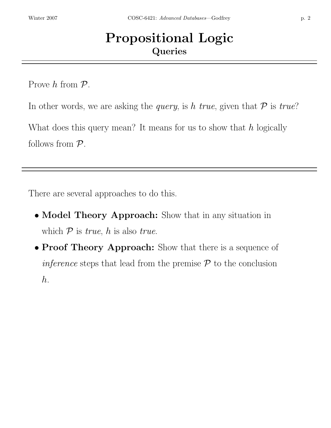## Propositional Logic **Queries**

Prove  $h$  from  $\mathcal{P}$ .

In other words, we are asking the *query*, is h true, given that  $P$  is true?

What does this query mean? It means for us to show that  $h$  logically follows from  $P$ .

There are several approaches to do this.

- Model Theory Approach: Show that in any situation in which  $P$  is *true*, h is also *true*.
- Proof Theory Approach: Show that there is a sequence of *inference* steps that lead from the premise  $P$  to the conclusion h.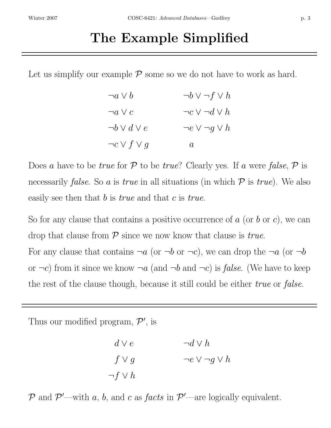## The Example Simplified

Let us simplify our example  $P$  some so we do not have to work as hard.

| $\neg a \vee b$        | $\neg b \vee \neg f \vee h$ |
|------------------------|-----------------------------|
| $\neg a \vee c$        | $\neg c \vee \neg d \vee h$ |
| $\neg b \vee d \vee e$ | $\neg e \vee \neg g \vee h$ |
| $\neg c \vee f \vee g$ | $\boldsymbol{a}$            |

Does a have to be true for  $P$  to be true? Clearly yes. If a were false,  $P$  is necessarily *false*. So a is true in all situations (in which  $P$  is true). We also easily see then that  $b$  is *true* and that  $c$  is *true*.

So for any clause that contains a positive occurrence of  $a$  (or  $b$  or  $c$ ), we can drop that clause from  $P$  since we now know that clause is *true*.

For any clause that contains  $\neg a$  (or  $\neg b$  or  $\neg c$ ), we can drop the  $\neg a$  (or  $\neg b$ or  $\neg c$ ) from it since we know  $\neg a$  (and  $\neg b$  and  $\neg c$ ) is *false*. (We have to keep the rest of the clause though, because it still could be either *true* or *false*.

Thus our modified program,  $\mathcal{P}'$ , is

$$
d \vee e \qquad \qquad \neg d \vee h
$$
  

$$
f \vee g \qquad \qquad \neg e \vee \neg g \vee h
$$
  

$$
\neg f \vee h
$$

P and  $\mathcal{P}'$ —with a, b, and c as facts in  $\mathcal{P}'$ —are logically equivalent.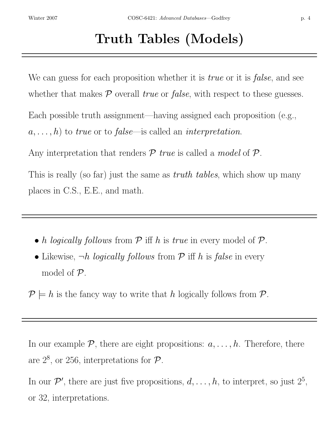We can guess for each proposition whether it is *true* or it is *false*, and see whether that makes  $P$  overall *true* or *false*, with respect to these guesses.

Each possible truth assignment—having assigned each proposition (e.g.,

 $a, \ldots, h$  to true or to false—is called an interpretation.

Any interpretation that renders  $P$  true is called a model of  $P$ .

This is really (so far) just the same as *truth tables*, which show up many places in C.S., E.E., and math.

- h logically follows from  $P$  iff h is true in every model of  $P$ .
- Likewise,  $\neg h$  logically follows from  $P$  iff h is false in every model of  $\mathcal{P}$ .

 $P \models h$  is the fancy way to write that h logically follows from  $P$ .

In our example  $P$ , there are eight propositions:  $a, \ldots, h$ . Therefore, there are  $2^8$ , or 256, interpretations for  $\mathcal{P}$ .

In our  $\mathcal{P}'$ , there are just five propositions,  $d, \ldots, h$ , to interpret, so just  $2^5$ , or 32, interpretations.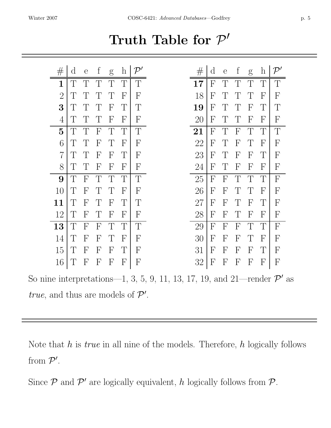Truth Table for  $\mathcal{P}'$ 

| $\#$           | $\rm d$      | $\overline{e}$ | $\mathbf{f}$              | g                         | $\boldsymbol{h}$ | $\mathcal{P}'$ | $\#$ | $\rm d$                   | $\overline{e}$ | $\mathbf f$               | g            | $\boldsymbol{\mathrm{h}}$ | $\mathcal{P}'$ |
|----------------|--------------|----------------|---------------------------|---------------------------|------------------|----------------|------|---------------------------|----------------|---------------------------|--------------|---------------------------|----------------|
| 1              | $\mathbb{T}$ | $\mathbb{T}$   | $\top$                    | $\top$                    | $\mathbb{T}$     | $\mathbb{T}$   | 17   | $\mathbf{F}$              | $\mathbb{T}$   | $\mathbb{T}$              | $\mathbb{T}$ | $\mathbb{T}$              | $\mathbb{T}$   |
| $\overline{2}$ | T            | $\top$         | $\top$                    | T                         | $\mathsf{F}$     | $\mathbf{F}$   | 18   | $\overline{\mathrm{F}}$   | $\top$         | T                         | T            | $\mathsf{F}$              | $\mathbf{F}$   |
| 3              | $\top$       | $\mathbb{T}$   | $\top$                    | F                         | $\top$           | $\top$         | 19   | $\mathbf{F}$              | $\mathbb{T}$   | $\top$                    | $\mathbf{F}$ | $\top$                    | $\mathbb{T}$   |
| 4              | $\top$       | $\mathbb{T}$   | $\top$                    | F                         | $\mathbf{F}$     | $\mathbf{F}$   | 20   | F                         | $\top$         | $\top$                    | $\mathbf{F}$ | $\mathbf{F}$              | $\mathbf{F}$   |
| $\overline{5}$ | $\mathbb{T}$ | $\top$         | $\boldsymbol{\mathrm{F}}$ | $\top$                    | $\mathbb{T}$     | T              | 21   | $\mathbf{F}$              | T              | $\mathbf{F}$              | $\mathbb{T}$ | $\top$                    | T              |
| 6              | $\top$       | $\mathbb{T}$   | $\overline{\mathrm{F}}$   | T                         | $\mathsf{F}$     | F              | 22   | F                         | $\mathbb{T}$   | $\overline{\mathrm{F}}$   | T            | $\mathsf{F}$              | $\mathbf{F}$   |
| $\overline{7}$ | $\top$       | $\top$         | $\overline{F}$            | $\mathbf{F}$              | $\top$           | F              | 23   | F                         | $\top$         | $\mathbf{F}$              | $\mathsf{F}$ | $\top$                    | $\mathbf{F}$   |
| 8              | $\top$       | $\top$         | $\overline{F}$            | $\mathbf{F}$              | $\mathbf{F}$     | F              | 24   | $\mathsf{F}$              | $\top$         | $\mathsf{F}$              | $\mathsf{F}$ | $\mathbf{F}$              | F              |
| 9              | $\top$       | $\mathbf{F}$   | $\top$                    | $\top$                    | $\mathbb{T}$     | $\mathbb{T}$   | 25   | $\boldsymbol{\mathrm{F}}$ | $\mathbf{F}$   | $\top$                    | T            | $\top$                    | $\mathbf{F}$   |
| 10             | $\top$       | $\mathbf{F}$   | $\top$                    |                           | $\mathbf{F}$     | F              | 26   | $\mathbf{F}$              | $\mathbf{F}$   | $\top$                    |              | $\mathsf{F}$              | $\mathbf{F}$   |
| 11             | $\top$       | $\mathbf{F}$   | $\mathbb{T}$              | $\overline{\mathrm{F}}$   | $\top$           | T              | 27   | $\mathbf{F}$              | $\mathbf{F}$   | $\mathbb{T}$              | $\mathsf{F}$ | $\top$                    | F              |
| 12             | T            | $\mathbf{F}$   | $\top$                    | $\mathbf{F}$              | $\mathbf{F}$     | F              | 28   | $\mathbf{F}$              | $\mathbf{F}$   | $\top$                    | $\mathbf{F}$ | $\mathbf{F}$              | $\mathbf{F}$   |
| 13             | $\mathbb{T}$ | $\mathbf{F}$   | $\overline{F}$            | $\top$                    | $\mathbb{T}$     | T              | 29   | $\mathbf{F}$              | $\mathsf{F}$   | $\mathbf{F}$              | $\mathbb{T}$ | $\top$                    | $\mathbf{F}$   |
| 14             | T            | $\mathsf{F}$   | $\overline{\mathrm{F}}$   | T                         | $\mathbf{F}$     | F              | 30   | $\mathbf{F}$              | $\mathsf{F}$   | $\mathbf{F}$              | $\top$       | F                         | $\mathbf{F}$   |
| 15             | $\top$       | $\mathbf{F}$   | $\mathbf{F}$              | $\boldsymbol{\mathrm{F}}$ | $\top$           | F              | 31   | $\boldsymbol{\mathrm{F}}$ | $\mathbf{F}$   | F                         | $\mathbf{F}$ | T                         | $\mathbf{F}$   |
| 16             | T            | $\mathbf{F}$   | F                         | F                         | $\mathbf{F}$     | $\overline{F}$ | 32   | $\boldsymbol{F}$          | $\overline{F}$ | $\boldsymbol{\mathrm{F}}$ | $\mathbf{F}$ | $\boldsymbol{\mathrm{F}}$ | $\mathbf{F}$   |

So nine interpretations—1, 3, 5, 9, 11, 13, 17, 19, and 21—render  $\mathcal{P}'$  as true, and thus are models of  $\mathcal{P}'$ .

Note that  $h$  is *true* in all nine of the models. Therefore,  $h$  logically follows from  $\mathcal{P}'$ .

Since  $P$  and  $P'$  are logically equivalent, h logically follows from  $P$ .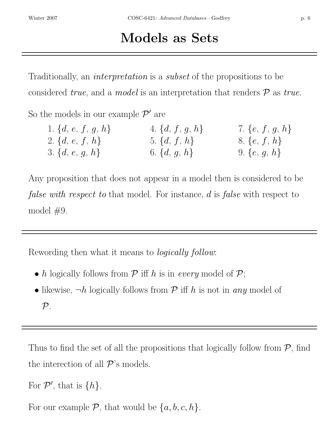## Models as Sets

Traditionally, an *interpretation* is a *subset* of the propositions to be considered *true*, and a *model* is an interpretation that renders  $P$  as *true*.

So the models in our example  $\mathcal{P}'$  are

| 1. $\{d, e, f, g, h\}$ | 4. $\{d, f, g, h\}$ | 7. $\{e, f, g, h\}$ |
|------------------------|---------------------|---------------------|
| 2. $\{d, e, f, h\}$    | 5. $\{d, f, h\}$    | 8. $\{e, f, h\}$    |
| 3. $\{d, e, g, h\}$    | 6. $\{d, g, h\}$    | 9. $\{e, g, h\}$    |

Any proposition that does not appear in a model then is considered to be false with respect to that model. For instance, d is false with respect to model  $#9$ .

Rewording then what it means to logically follow:

- h logically follows from  $P$  iff h is in every model of  $P$ ;
- likewise,  $\neg h$  logically follows from  $P$  iff h is not in any model of  $\mathcal{P}.$

Thus to find the set of all the propositions that logically follow from  $P$ , find the interection of all  $\mathcal{P}$ 's models.

For  $\mathcal{P}'$ , that is  $\{h\}$ .

For our example  $P$ , that would be  $\{a, b, c, h\}$ .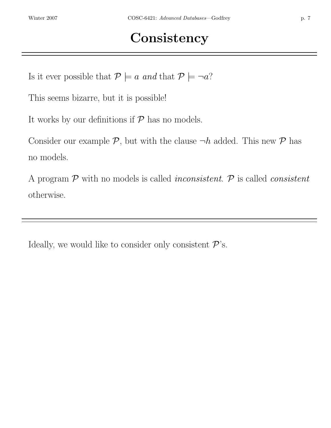Is it ever possible that  $P \models a \text{ and that } P \models \neg a?$ 

This seems bizarre, but it is possible!

It works by our definitions if  $P$  has no models.

Consider our example  $P$ , but with the clause  $\neg h$  added. This new  $P$  has no models.

A program  $P$  with no models is called *inconsistent*.  $P$  is called *consistent* otherwise.

Ideally, we would like to consider only consistent  $\mathcal{P}$ 's.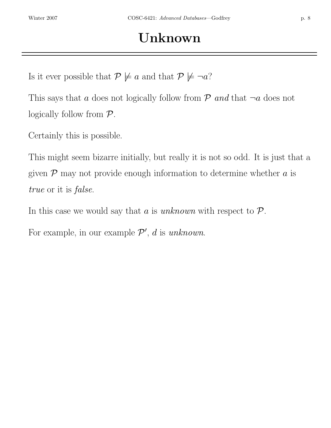Is it ever possible that  $P \not\models a$  and that  $P \not\models \neg a$ ?

This says that a does not logically follow from  $P$  and that  $\neg a$  does not logically follow from  $P$ .

Certainly this is possible.

This might seem bizarre initially, but really it is not so odd. It is just that a given  $P$  may not provide enough information to determine whether  $a$  is true or it is false.

In this case we would say that a is unknown with respect to  $P$ .

For example, in our example  $\mathcal{P}'$ , d is unknown.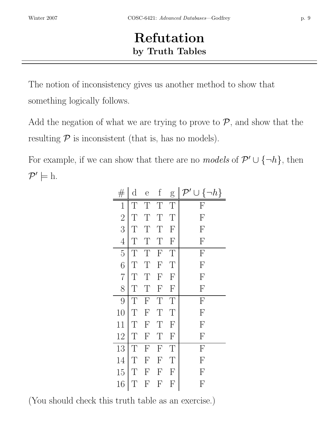## Refutation by Truth Tables

The notion of inconsistency gives us another method to show that something logically follows.

Add the negation of what we are trying to prove to  $P$ , and show that the resulting  $P$  is inconsistent (that is, has no models).

For example, if we can show that there are no *models* of  $\mathcal{P}' \cup \{\neg h\}$ , then  $\mathcal{P}' \models \mathrm{h}.$ 

| $\#$           | d      | e                         | f                         | g                         | $\neg h$<br>U {<br>$\mathcal{P}'$ |
|----------------|--------|---------------------------|---------------------------|---------------------------|-----------------------------------|
| 1              | Т      | T                         | T                         | T                         | F                                 |
| $\overline{2}$ | T      | Т                         | Т                         | T                         | $\boldsymbol{\mathrm{F}}$         |
| 3              | T      | T                         | T                         | $\boldsymbol{\mathrm{F}}$ | $\boldsymbol{\mathrm{F}}$         |
| $\overline{4}$ | Т      | Т                         | T                         | $\overline{F}$            | $\overline{F}$                    |
| $\overline{5}$ | Т      | T                         | F                         | T                         | F                                 |
| 6              | Τ      | Τ                         | F                         | T                         | $\overline{F}$                    |
| $\overline{7}$ | T      | Т                         | F                         | $\overline{F}$            | $\mathbf{F}$                      |
| 8              | Т      | Т                         | $\overline{F}$            | $\overline{F}$            | F                                 |
| 9              | T      | $\overline{F}$            | $\overline{T}$            | T                         | $\overline{F}$                    |
| 10             | Τ      | $\mathbf{F}$              | Τ                         | Т                         | F                                 |
| 11             | T      | $\mathbf{F}$              | T                         | $\overline{F}$            | F                                 |
| 12             | T      | $\mathbf{F}$              | T                         | $\overline{F}$            | F                                 |
| 13             | $\top$ | F                         | $\overline{F}$            | $\mathbb{T}$              | $\overline{F}$                    |
| 14             | Т      | F                         | $\boldsymbol{\mathrm{F}}$ | T                         | $\overline{F}$                    |
| 15             | Τ      | $\boldsymbol{\mathrm{F}}$ | F                         | $\overline{F}$            | $\boldsymbol{\mathrm{F}}$         |
| 16             | T      | $\boldsymbol{\mathrm{F}}$ | $\mathbf{F}$              | $\mathbf{F}$              | $\overline{\mathrm{F}}$           |

(You should check this truth table as an exercise.)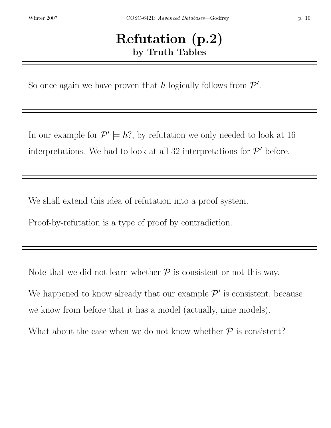#### Refutation (p.2) by Truth Tables

So once again we have proven that h logically follows from  $\mathcal{P}'$ .

In our example for  $\mathcal{P}' \models h$ ?, by refutation we only needed to look at 16 interpretations. We had to look at all 32 interpretations for  $\mathcal{P}'$  before.

We shall extend this idea of refutation into a proof system.

Proof-by-refutation is a type of proof by contradiction.

Note that we did not learn whether  $P$  is consistent or not this way.

We happened to know already that our example  $\mathcal{P}'$  is consistent, because we know from before that it has a model (actually, nine models).

What about the case when we do not know whether  $\mathcal P$  is consistent?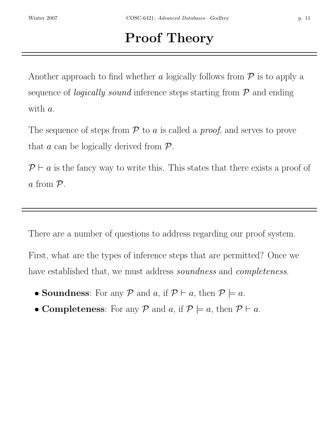# Proof Theory

Another approach to find whether a logically follows from  $P$  is to apply a sequence of *logically sound* inference steps starting from  $P$  and ending with a.

The sequence of steps from  $P$  to a is called a *proof*, and serves to prove that  $a$  can be logically derived from  $P$ .

 $\mathcal{P} \vdash a$  is the fancy way to write this. This states that there exists a proof of a from P.

There are a number of questions to address regarding our proof system. First, what are the types of inference steps that are permitted? Once we have established that, we must address *soundness* and *completeness*.

- Soundness: For any  $P$  and  $a$ , if  $P \vdash a$ , then  $P \models a$ .
- Completeness: For any P and a, if  $\mathcal{P} \models a$ , then  $\mathcal{P} \vdash a$ .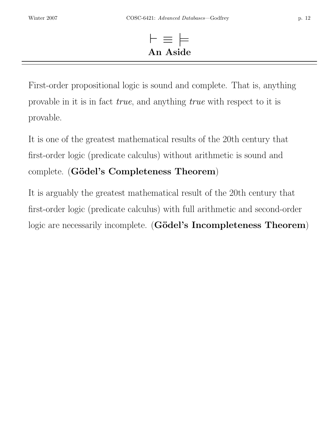## ⊢ ≡ |= An Aside

First-order propositional logic is sound and complete. That is, anything provable in it is in fact true, and anything true with respect to it is provable.

It is one of the greatest mathematical results of the 20th century that first-order logic (predicate calculus) without arithmetic is sound and complete. (Gödel's Completeness Theorem)

It is arguably the greatest mathematical result of the 20th century that first-order logic (predicate calculus) with full arithmetic and second-order logic are necessarily incomplete. (Gödel's Incompleteness Theorem)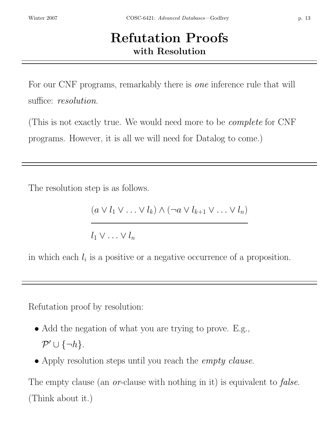## Refutation Proofs with Resolution

For our CNF programs, remarkably there is one inference rule that will suffice: *resolution*.

(This is not exactly true. We would need more to be complete for CNF programs. However, it is all we will need for Datalog to come.)

The resolution step is as follows.

$$
(a \vee l_1 \vee \ldots \vee l_k) \wedge (\neg a \vee l_{k+1} \vee \ldots \vee l_n)
$$

 $l_1 \vee \ldots \vee l_n$ 

in which each  $l_i$  is a positive or a negative occurrence of a proposition.

Refutation proof by resolution:

- Add the negation of what you are trying to prove. E.g.,  $\mathcal{P}' \cup \{\neg h\}.$
- Apply resolution steps until you reach the *empty clause*.

The empty clause (an *or*-clause with nothing in it) is equivalent to *false*. (Think about it.)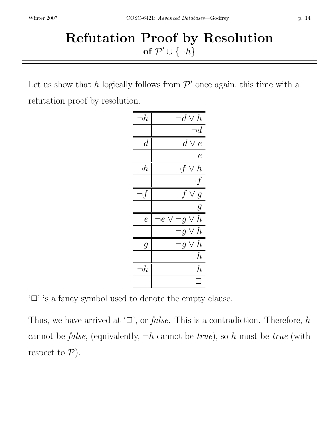## Refutation Proof by Resolution of  $\mathcal{P}' \cup \{\neg h\}$

Let us show that h logically follows from  $\mathcal{P}'$  once again, this time with a refutation proof by resolution.

| ר $h_\cdot$      | ו $d\vee h$              |
|------------------|--------------------------|
|                  | $\neg d$                 |
| ו $\overline{d}$ | $d \vee e$               |
|                  | e                        |
| $\neg h$         | ר $f\vee h$              |
|                  | ר $f$                    |
| ۱f               | f<br>$\vee g$            |
|                  | g                        |
| $\overline{e}$   | י $g\vee h$<br>ו $e\vee$ |
|                  | י $g\vee h$              |
| $\it{g}$         | י $g\vee h$              |
|                  | $\hbar$                  |
| ה $\,$           | $\hbar$                  |
|                  |                          |

'✷' is a fancy symbol used to denote the empty clause.

Thus, we have arrived at  $\Box$ , or *false*. This is a contradiction. Therefore, h cannot be *false*, (equivalently,  $\neg h$  cannot be *true*), so h must be *true* (with respect to  $P$ ).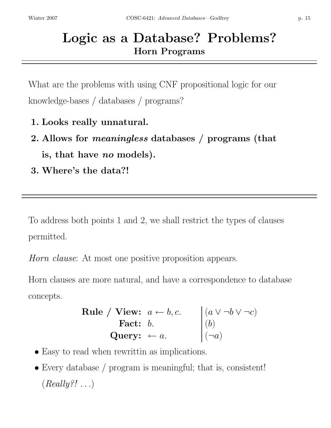## Logic as a Database? Problems? Horn Programs

What are the problems with using CNF propositional logic for our knowledge-bases / databases / programs?

- 1. Looks really unnatural.
- 2. Allows for meaningless databases / programs (that is, that have no models).
- 3. Where's the data?!

To address both points 1 and 2, we shall restrict the types of clauses permitted.

Horn clause: At most one positive proposition appears.

Horn clauses are more natural, and have a correspondence to database concepts.

| Rule / View: | $a \leftarrow b, c.$ | $(a \vee \neg b \vee \neg c)$ |
|--------------|----------------------|-------------------------------|
| Fact:        | $b.$                 | $(b)$                         |
| Query:       | $\leftarrow a.$      | $(\neg a)$                    |

- Easy to read when rewrittin as implications.
- Every database / program is meaningful; that is, consistent!  $(Really?! ...)$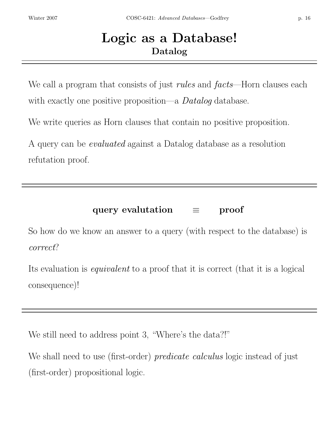## Logic as a Database! Datalog

We call a program that consists of just *rules* and *facts*—Horn clauses each with exactly one positive proposition—a *Datalog* database.

We write queries as Horn clauses that contain no positive proposition.

A query can be evaluated against a Datalog database as a resolution refutation proof.

#### query evalutation = proof

So how do we know an answer to a query (with respect to the database) is correct?

Its evaluation is equivalent to a proof that it is correct (that it is a logical consequence)!

We still need to address point 3, "Where's the data?!"

We shall need to use (first-order) *predicate calculus* logic instead of just (first-order) propositional logic.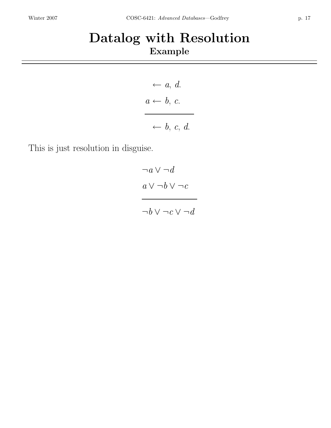## Datalog with Resolution Example

$$
\begin{array}{c}\n \leftarrow a, d. \\
a \leftarrow b, c. \\
\leftarrow b, c, d.\n \end{array}
$$

This is just resolution in disguise.

$$
\neg a \lor \neg d
$$
\n
$$
\overline{a \lor \neg b \lor \neg c}
$$
\n
$$
\overline{\neg b \lor \neg c \lor \neg d}
$$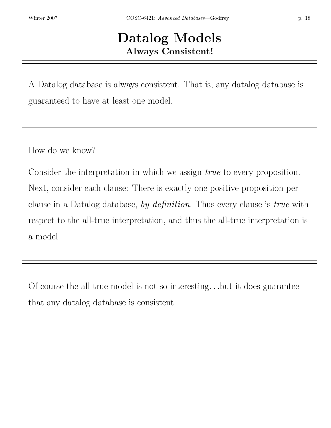## Datalog Models Always Consistent!

A Datalog database is always consistent. That is, any datalog database is guaranteed to have at least one model.

How do we know?

Consider the interpretation in which we assign *true* to every proposition. Next, consider each clause: There is exactly one positive proposition per clause in a Datalog database, by definition. Thus every clause is true with respect to the all-true interpretation, and thus the all-true interpretation is a model.

Of course the all-true model is not so interesting. . .but it does guarantee that any datalog database is consistent.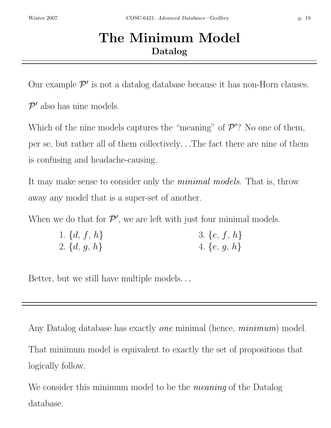## The Minimum Model Datalog

Our example  $\mathcal{P}'$  is not a datalog database because it has non-Horn clauses.

 $\mathcal{P}'$  also has nine models.

Which of the nine models captures the "meaning" of  $\mathcal{P}'$ ? No one of them, per se, but rather all of them collectively. . .The fact there are nine of them is confusing and headache-causing.

It may make sense to consider only the *minimal models*. That is, throw away any model that is a super-set of another.

When we do that for  $\mathcal{P}'$ , we are left with just four minimal models.

| 1. $\{d, f, h\}$ | 3. $\{e, f, h\}$ |
|------------------|------------------|
| 2. $\{d, g, h\}$ | 4. $\{e, g, h\}$ |

Better, but we still have multiple models. . .

Any Datalog database has exactly *one* minimal (hence, *minimum*) model. That minimum model is equivalent to exactly the set of propositions that logically follow.

We consider this minimum model to be the *meaning* of the Datalog database.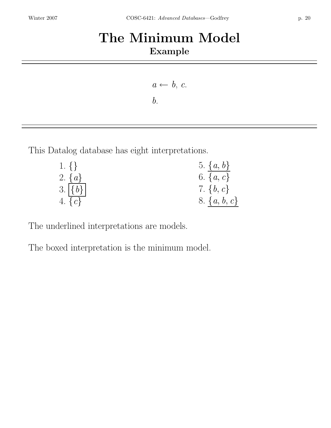## The Minimum Model Example

 $a \leftarrow b, c.$  $\mathfrak{b}$ .

This Datalog database has eight interpretations.

| $1. \}$       | 5. $\{a, b\}$    |
|---------------|------------------|
| 2. $\{a\}$    | 6. $\{a, c\}$    |
| $3.   \{b\} $ | 7. $\{b, c\}$    |
| 4. $\{c\}$    | 8. $\{a, b, c\}$ |

The underlined interpretations are models.

The boxed interpretation is the minimum model.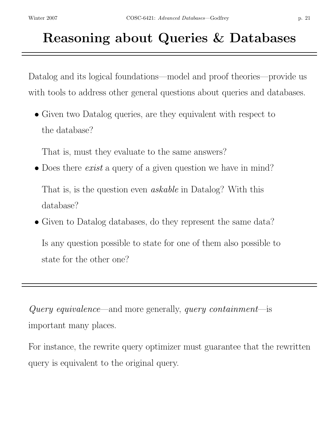# Reasoning about Queries & Databases

Datalog and its logical foundations—model and proof theories—provide us with tools to address other general questions about queries and databases.

• Given two Datalog queries, are they equivalent with respect to the database?

That is, must they evaluate to the same answers?

• Does there *exist* a query of a given question we have in mind?

That is, is the question even *askable* in Datalog? With this database?

• Given to Datalog databases, do they represent the same data?

Is any question possible to state for one of them also possible to state for the other one?

Query equivalence—and more generally, query containment—is important many places.

For instance, the rewrite query optimizer must guarantee that the rewritten query is equivalent to the original query.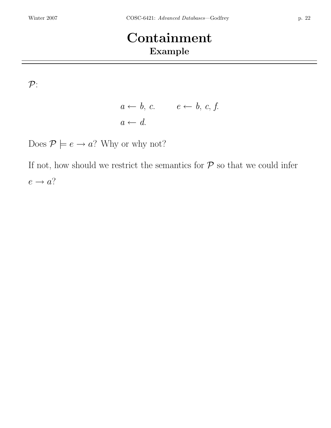## Containment Example

 $\mathcal{P}$ :

$$
a \leftarrow b, c. \qquad e \leftarrow b, c, f.
$$

$$
a \leftarrow d.
$$

Does  $P \models e \rightarrow a$ ? Why or why not?

If not, how should we restrict the semantics for  $P$  so that we could infer  $e \rightarrow a$ ?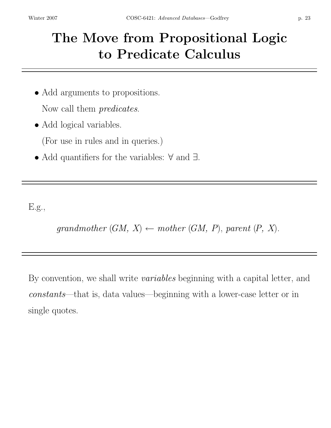# The Move from Propositional Logic to Predicate Calculus

- Add arguments to propositions. Now call them *predicates*.
- Add logical variables.

(For use in rules and in queries.)

• Add quantifiers for the variables: ∀ and ∃.

E.g.,

grandmother  $(GM, X) \leftarrow mother(GM, P)$ , parent  $(P, X)$ .

By convention, we shall write variables beginning with a capital letter, and constants—that is, data values—beginning with a lower-case letter or in single quotes.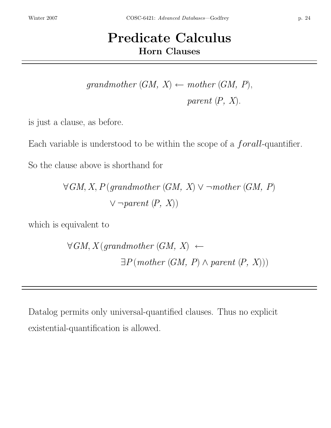## Predicate Calculus Horn Clauses

 $grandmother (GM, X) \leftarrow mother (GM, P),$ parent  $(P, X)$ .

is just a clause, as before.

Each variable is understood to be within the scope of a forall-quantifier.

So the clause above is shorthand for

 $\forall GM, X, P \text{ (grandmother (GM, X)} \vee \neg mother \text{ (GM, P)}$  $\vee \neg parent(P, X)$ 

which is equivalent to

 $\forall GM, X (grandmother (GM, X) \leftarrow$  $\exists P(mother(GM, P) \land parent(P, X))$ 

Datalog permits only universal-quantified clauses. Thus no explicit existential-quantification is allowed.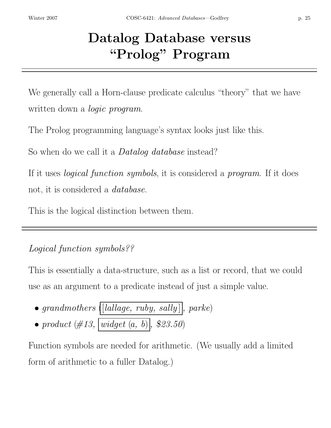# Datalog Database versus "Prolog" Program

We generally call a Horn-clause predicate calculus "theory" that we have written down a *logic program*.

The Prolog programming language's syntax looks just like this.

So when do we call it a *Datalog database* instead?

If it uses *logical function symbols*, it is considered a *program*. If it does not, it is considered a database.

This is the logical distinction between them.

#### Logical function symbols??

This is essentially a data-structure, such as a list or record, that we could use as an argument to a predicate instead of just a simple value.

• grandmothers ([lallage, ruby, sally], parke) • product  $(\#13, \sqrt{widget(a, b)}, \$23.50)$ 

Function symbols are needed for arithmetic. (We usually add a limited form of arithmetic to a fuller Datalog.)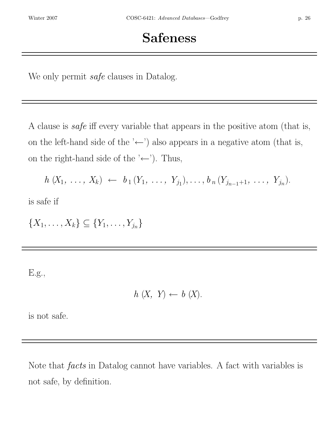We only permit *safe* clauses in Datalog.

A clause is safe iff every variable that appears in the positive atom (that is, on the left-hand side of the ' $\leftarrow$ ') also appears in a negative atom (that is, on the right-hand side of the ' $\leftarrow$ '). Thus,

$$
h(X_1, \ldots, X_k) \leftarrow b_1(Y_1, \ldots, Y_{j_1}), \ldots, b_n(Y_{j_{n-1}+1}, \ldots, Y_{j_n}).
$$

is safe if

 $\{X_1, \ldots, X_k\} \subseteq \{Y_1, \ldots, Y_{j_n}\}\$ 

E.g.,

$$
h(X, Y) \leftarrow b(X).
$$

is not safe.

Note that *facts* in Datalog cannot have variables. A fact with variables is not safe, by definition.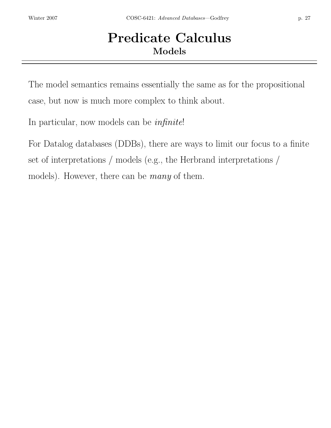## Predicate Calculus Models

The model semantics remains essentially the same as for the propositional case, but now is much more complex to think about.

In particular, now models can be infinite!

For Datalog databases (DDBs), there are ways to limit our focus to a finite set of interpretations / models (e.g., the Herbrand interpretations / models). However, there can be *many* of them.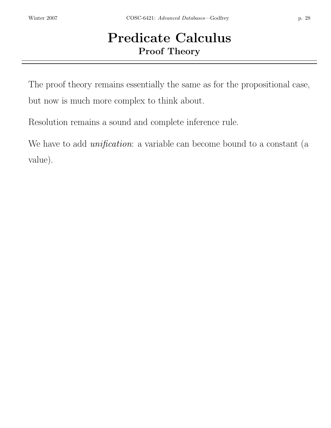## Predicate Calculus Proof Theory

The proof theory remains essentially the same as for the propositional case, but now is much more complex to think about.

Resolution remains a sound and complete inference rule.

We have to add *unification*: a variable can become bound to a constant (a value).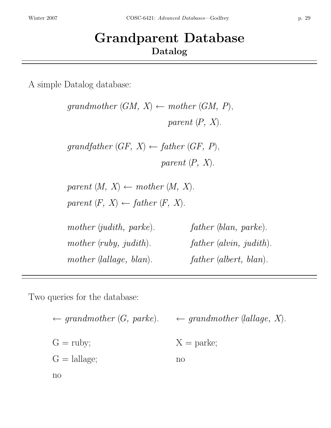## Grandparent Database Datalog

A simple Datalog database:

| grandmother $(GM, X) \leftarrow mother(GM, P)$ ,    |                         |
|-----------------------------------------------------|-------------------------|
|                                                     | parent $(P, X)$ .       |
| grandfather $(GF, X) \leftarrow$ father $(GF, P)$ , |                         |
|                                                     | parent $(P, X)$ .       |
| parent $(M, X) \leftarrow mother(M, X)$ .           |                         |
| parent $(F, X) \leftarrow father (F, X)$ .          |                         |
| mother (judith, parke).                             | father (blan, parke).   |
| mother (ruby, judith).                              | father (alvin, judith). |
| mother (lallage, blan).                             | father (albert, blan).  |
|                                                     |                         |

Two queries for the database:

$$
\leftarrow \text{grandmother } (G, \text{ parke}). \quad \leftarrow \text{grandmother (lallage, X)}.
$$
  
\n
$$
G = \text{ruby}; \quad X = \text{parke};
$$
  
\n
$$
G = \text{lallage}; \quad \text{no}
$$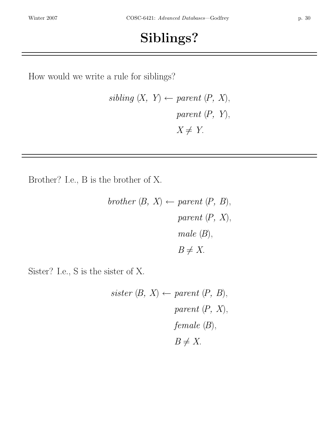## Siblings?

How would we write a rule for siblings?

$$
sibling (X, Y) \leftarrow parent (P, X),
$$
  
parent (P, Y),  

$$
X \neq Y.
$$

Brother? I.e., B is the brother of X.

*brother* (*B*, *X*) 
$$
\leftarrow
$$
 *parent* (*P*, *B*),  
*parent* (*P*, *X*),  
*male* (*B*),  
 $B \neq X$ .

Sister? I.e., S is the sister of X.

$$
sister (B, X) \leftarrow parent (P, B),
$$
  
parent (P, X),  
female (B),  

$$
B \neq X.
$$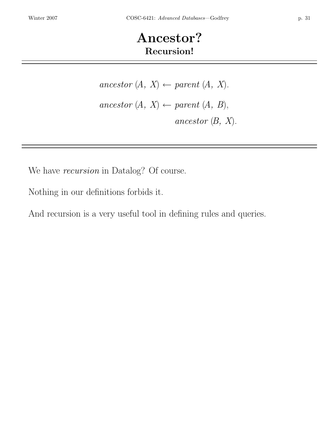## Ancestor? Recursion!

ancestor  $(A, X) \leftarrow parent (A, X)$ . ancestor  $(A, X) \leftarrow parent (A, B),$ ancestor  $(B, X)$ .

We have recursion in Datalog? Of course.

Nothing in our definitions forbids it.

And recursion is a very useful tool in defining rules and queries.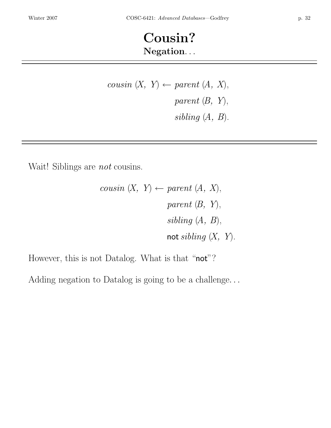## Cousin? Negation. . .

cousin  $(X, Y) \leftarrow parent(A, X),$ parent  $(B, Y)$ , sibling  $(A, B)$ .

Wait! Siblings are *not* cousins.

$$
cousin (X, Y) \leftarrow parent (A, X),
$$
  
parent (B, Y),  
 *sibling (A, B),*  
 **not** *sibling (X, Y).*

However, this is not Datalog. What is that "not"?

Adding negation to Datalog is going to be a challenge. . .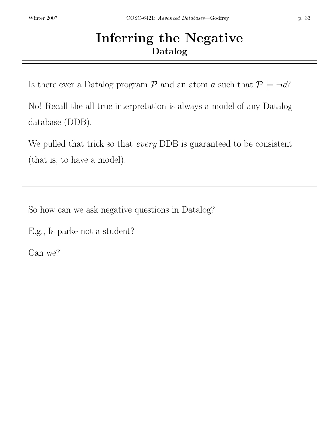## Inferring the Negative Datalog

Is there ever a Datalog program  $P$  and an atom a such that  $P \models \neg a$ ?

No! Recall the all-true interpretation is always a model of any Datalog database (DDB).

We pulled that trick so that *every* DDB is guaranteed to be consistent (that is, to have a model).

So how can we ask negative questions in Datalog?

E.g., Is parke not a student?

Can we?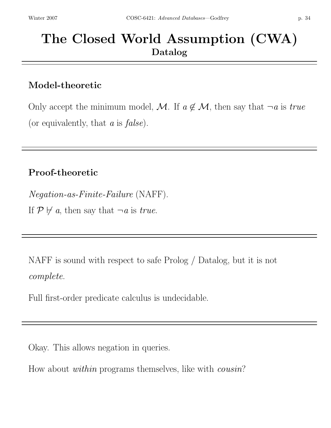## The Closed World Assumption (CWA) Datalog

#### Model-theoretic

Only accept the minimum model, M. If  $a \notin M$ , then say that  $\neg a$  is true (or equivalently, that  $a$  is  $false$ ).

#### Proof-theoretic

Negation-as-Finite-Failure (NAFF). If  $\mathcal{P} \not\vdash a$ , then say that  $\neg a$  is *true*.

NAFF is sound with respect to safe Prolog / Datalog, but it is not complete.

Full first-order predicate calculus is undecidable.

Okay. This allows negation in queries.

How about within programs themselves, like with cousin?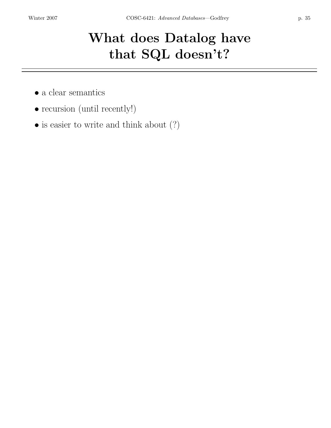# What does Datalog have that SQL doesn't?

- a clear semantics
- recursion (until recently!)
- is easier to write and think about  $(?)$